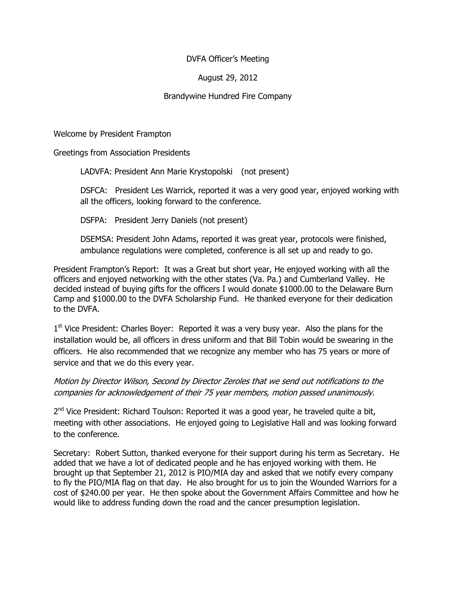## DVFA Officer's Meeting

# August 29, 2012

### Brandywine Hundred Fire Company

Welcome by President Frampton

Greetings from Association Presidents

LADVFA: President Ann Marie Krystopolski (not present)

DSFCA: President Les Warrick, reported it was a very good year, enjoyed working with all the officers, looking forward to the conference.

DSFPA: President Jerry Daniels (not present)

DSEMSA: President John Adams, reported it was great year, protocols were finished, ambulance regulations were completed, conference is all set up and ready to go.

President Frampton's Report: It was a Great but short year, He enjoyed working with all the officers and enjoyed networking with the other states (Va. Pa.) and Cumberland Valley. He decided instead of buying gifts for the officers I would donate \$1000.00 to the Delaware Burn Camp and \$1000.00 to the DVFA Scholarship Fund. He thanked everyone for their dedication to the DVFA.

1<sup>st</sup> Vice President: Charles Boyer: Reported it was a very busy year. Also the plans for the installation would be, all officers in dress uniform and that Bill Tobin would be swearing in the officers. He also recommended that we recognize any member who has 75 years or more of service and that we do this every year.

# Motion by Director Wilson, Second by Director Zeroles that we send out notifications to the companies for acknowledgement of their 75 year members, motion passed unanimously.

2<sup>nd</sup> Vice President: Richard Toulson: Reported it was a good year, he traveled quite a bit, meeting with other associations. He enjoyed going to Legislative Hall and was looking forward to the conference.

Secretary: Robert Sutton, thanked everyone for their support during his term as Secretary. He added that we have a lot of dedicated people and he has enjoyed working with them. He brought up that September 21, 2012 is PIO/MIA day and asked that we notify every company to fly the PIO/MIA flag on that day. He also brought for us to join the Wounded Warriors for a cost of \$240.00 per year. He then spoke about the Government Affairs Committee and how he would like to address funding down the road and the cancer presumption legislation.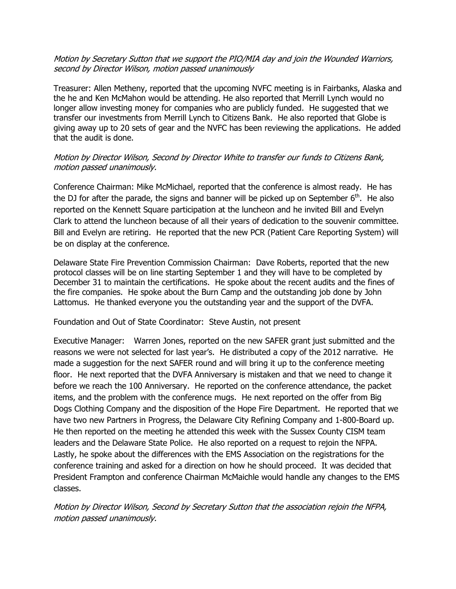#### Motion by Secretary Sutton that we support the PIO/MIA day and join the Wounded Warriors, second by Director Wilson, motion passed unanimously

Treasurer: Allen Metheny, reported that the upcoming NVFC meeting is in Fairbanks, Alaska and the he and Ken McMahon would be attending. He also reported that Merrill Lynch would no longer allow investing money for companies who are publicly funded. He suggested that we transfer our investments from Merrill Lynch to Citizens Bank. He also reported that Globe is giving away up to 20 sets of gear and the NVFC has been reviewing the applications. He added that the audit is done.

## Motion by Director Wilson, Second by Director White to transfer our funds to Citizens Bank, motion passed unanimously.

Conference Chairman: Mike McMichael, reported that the conference is almost ready. He has the DJ for after the parade, the signs and banner will be picked up on September  $6<sup>th</sup>$ . He also reported on the Kennett Square participation at the luncheon and he invited Bill and Evelyn Clark to attend the luncheon because of all their years of dedication to the souvenir committee. Bill and Evelyn are retiring. He reported that the new PCR (Patient Care Reporting System) will be on display at the conference.

Delaware State Fire Prevention Commission Chairman: Dave Roberts, reported that the new protocol classes will be on line starting September 1 and they will have to be completed by December 31 to maintain the certifications. He spoke about the recent audits and the fines of the fire companies. He spoke about the Burn Camp and the outstanding job done by John Lattomus. He thanked everyone you the outstanding year and the support of the DVFA.

#### Foundation and Out of State Coordinator: Steve Austin, not present

Executive Manager: Warren Jones, reported on the new SAFER grant just submitted and the reasons we were not selected for last year's. He distributed a copy of the 2012 narrative. He made a suggestion for the next SAFER round and will bring it up to the conference meeting floor. He next reported that the DVFA Anniversary is mistaken and that we need to change it before we reach the 100 Anniversary. He reported on the conference attendance, the packet items, and the problem with the conference mugs. He next reported on the offer from Big Dogs Clothing Company and the disposition of the Hope Fire Department. He reported that we have two new Partners in Progress, the Delaware City Refining Company and 1-800-Board up. He then reported on the meeting he attended this week with the Sussex County CISM team leaders and the Delaware State Police. He also reported on a request to rejoin the NFPA. Lastly, he spoke about the differences with the EMS Association on the registrations for the conference training and asked for a direction on how he should proceed. It was decided that President Frampton and conference Chairman McMaichle would handle any changes to the EMS classes.

Motion by Director Wilson, Second by Secretary Sutton that the association rejoin the NFPA, motion passed unanimously.